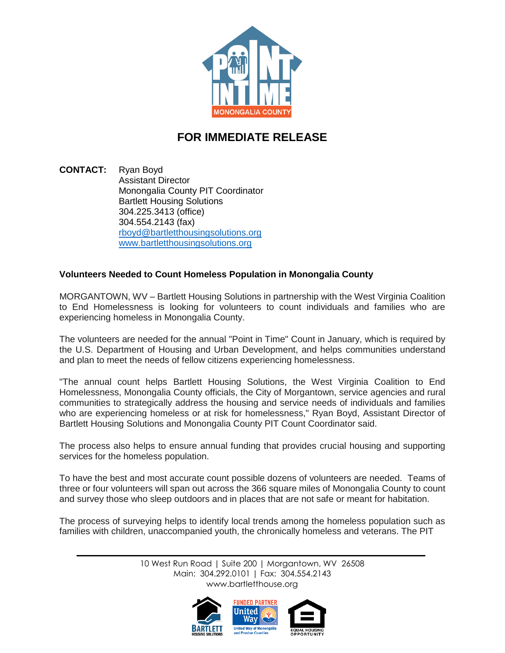

## **FOR IMMEDIATE RELEASE**

**CONTACT:** Ryan Boyd Assistant Director Monongalia County PIT Coordinator Bartlett Housing Solutions 304.225.3413 (office) 304.554.2143 (fax) [rboyd@bartletthousingsolutions.org](mailto:rboyd@bartletthousingsolutions.org) [www.bartletthousingsolutions.org](http://www.bartletthousingsolutions.org/)

## **Volunteers Needed to Count Homeless Population in Monongalia County**

MORGANTOWN, WV – Bartlett Housing Solutions in partnership with the West Virginia Coalition to End Homelessness is looking for volunteers to count individuals and families who are experiencing homeless in Monongalia County.

The volunteers are needed for the annual "Point in Time" Count in January, which is required by the U.S. Department of Housing and Urban Development, and helps communities understand and plan to meet the needs of fellow citizens experiencing homelessness.

"The annual count helps Bartlett Housing Solutions, the West Virginia Coalition to End Homelessness, Monongalia County officials, the City of Morgantown, service agencies and rural communities to strategically address the housing and service needs of individuals and families who are experiencing homeless or at risk for homelessness," Ryan Boyd, Assistant Director of Bartlett Housing Solutions and Monongalia County PIT Count Coordinator said.

The process also helps to ensure annual funding that provides crucial housing and supporting services for the homeless population.

To have the best and most accurate count possible dozens of volunteers are needed. Teams of three or four volunteers will span out across the 366 square miles of Monongalia County to count and survey those who sleep outdoors and in places that are not safe or meant for habitation.

The process of surveying helps to identify local trends among the homeless population such as families with children, unaccompanied youth, the chronically homeless and veterans. The PIT

> 10 West Run Road | Suite 200 | Morgantown, WV 26508 Main: 304.292.0101 | Fax: 304.554.2143 [www.bartletthouse.org](http://www.bartletthouse.org/)